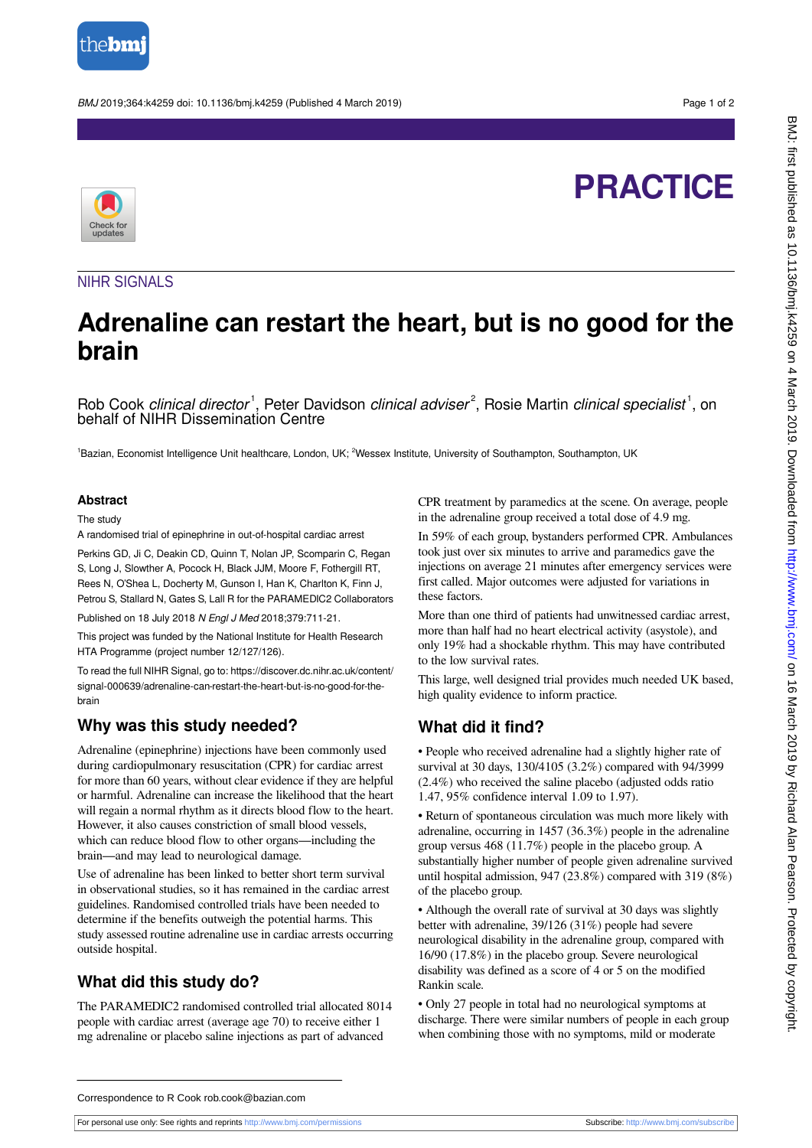

BMJ 2019;364:k4259 doi: 10.1136/bmj.k4259 (Published 4 March 2019) Page 1 of 2

# **PRACTICE**



### NIHR SIGNALS

## **Adrenaline can restart the heart, but is no good for the brain**

Rob Cook clinical director<sup>1</sup>, Peter Davidson clinical adviser<sup>2</sup>, Rosie Martin clinical specialist<sup>1</sup>, on behalf of NIHR Dissemination Centre

<sup>1</sup>Bazian, Economist Intelligence Unit healthcare, London, UK; <sup>2</sup>Wessex Institute, University of Southampton, Southampton, UK

#### **Abstract**

The study

A randomised trial of epinephrine in out-of-hospital cardiac arrest

Perkins GD, Ji C, Deakin CD, Quinn T, Nolan JP, Scomparin C, Regan S, Long J, Slowther A, Pocock H, Black JJM, Moore F, Fothergill RT, Rees N, O'Shea L, Docherty M, Gunson I, Han K, Charlton K, Finn J, Petrou S, Stallard N, Gates S, Lall R for the PARAMEDIC2 Collaborators

Published on 18 July 2018 N Engl J Med 2018;379:711-21.

This project was funded by the National Institute for Health Research HTA Programme (project number 12/127/126).

To read the full NIHR Signal, go to: https://discover.dc.nihr.ac.uk/content/ signal-000639/adrenaline-can-restart-the-heart-but-is-no-good-for-thebrain

## **Why was this study needed?**

Adrenaline (epinephrine) injections have been commonly used during cardiopulmonary resuscitation (CPR) for cardiac arrest for more than 60 years, without clear evidence if they are helpful or harmful. Adrenaline can increase the likelihood that the heart will regain a normal rhythm as it directs blood flow to the heart. However, it also causes constriction of small blood vessels, which can reduce blood flow to other organs—including the brain—and may lead to neurological damage.

Use of adrenaline has been linked to better short term survival in observational studies, so it has remained in the cardiac arrest guidelines. Randomised controlled trials have been needed to determine if the benefits outweigh the potential harms. This study assessed routine adrenaline use in cardiac arrests occurring outside hospital.

## **What did this study do?**

The PARAMEDIC2 randomised controlled trial allocated 8014 people with cardiac arrest (average age 70) to receive either 1 mg adrenaline or placebo saline injections as part of advanced

CPR treatment by paramedics at the scene. On average, people in the adrenaline group received a total dose of 4.9 mg.

In 59% of each group, bystanders performed CPR. Ambulances took just over six minutes to arrive and paramedics gave the injections on average 21 minutes after emergency services were first called. Major outcomes were adjusted for variations in these factors.

More than one third of patients had unwitnessed cardiac arrest, more than half had no heart electrical activity (asystole), and only 19% had a shockable rhythm. This may have contributed to the low survival rates.

This large, well designed trial provides much needed UK based, high quality evidence to inform practice.

## **What did it find?**

• People who received adrenaline had a slightly higher rate of survival at 30 days, 130/4105 (3.2%) compared with 94/3999 (2.4%) who received the saline placebo (adjusted odds ratio 1.47, 95% confidence interval 1.09 to 1.97).

• Return of spontaneous circulation was much more likely with adrenaline, occurring in 1457 (36.3%) people in the adrenaline group versus 468 (11.7%) people in the placebo group. A substantially higher number of people given adrenaline survived until hospital admission, 947 (23.8%) compared with 319 (8%) of the placebo group.

• Although the overall rate of survival at 30 days was slightly better with adrenaline, 39/126 (31%) people had severe neurological disability in the adrenaline group, compared with 16/90 (17.8%) in the placebo group. Severe neurological disability was defined as a score of 4 or 5 on the modified Rankin scale.

• Only 27 people in total had no neurological symptoms at discharge. There were similar numbers of people in each group when combining those with no symptoms, mild or moderate

#### Correspondence to R Cook rob.cook@bazian.com

For personal use only: See rights and reprints<http://www.bmj.com/permissions> Subscribe: <http://www.bmj.com/subscribe>